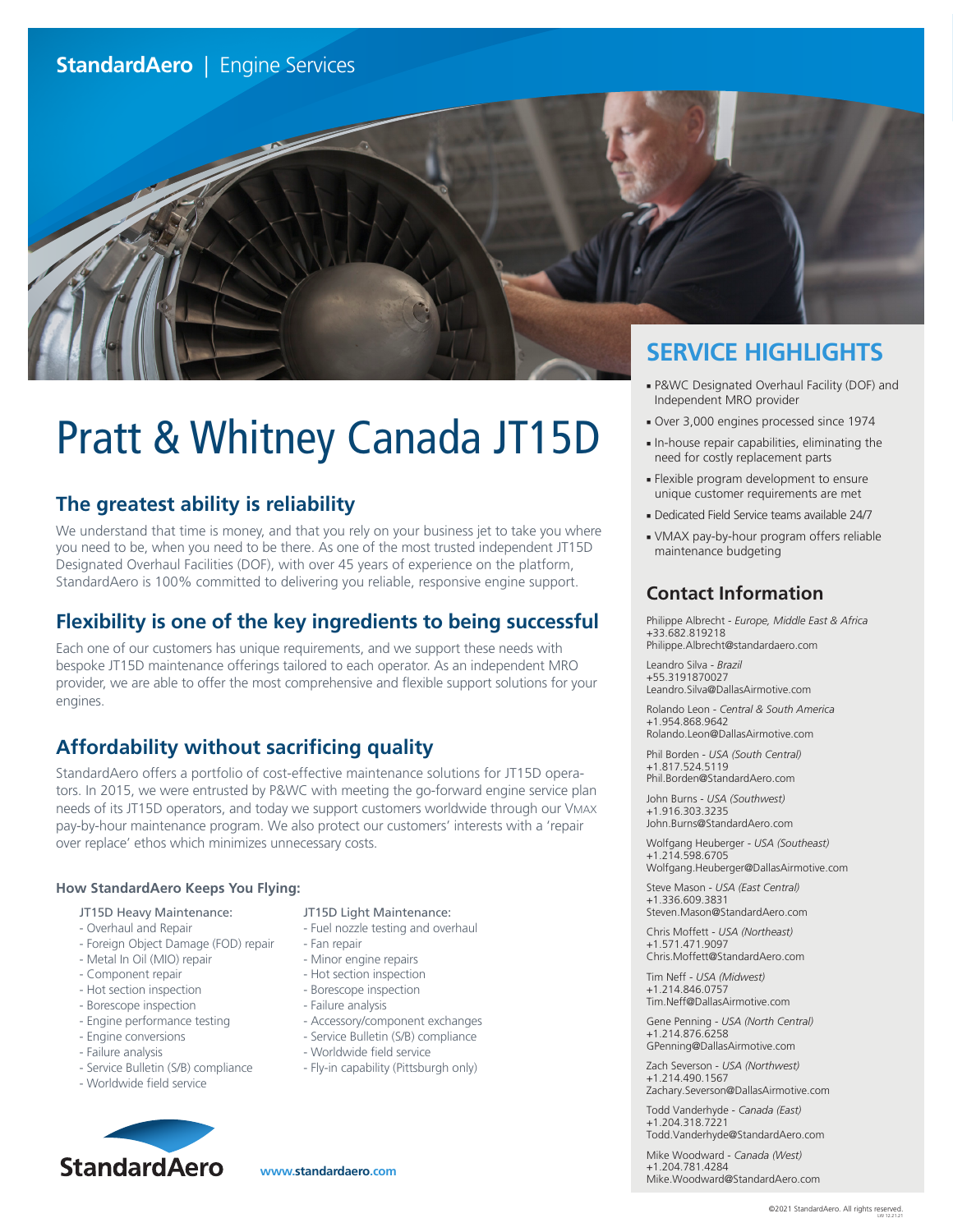

# Pratt & Whitney Canada JT15D

# **The greatest ability is reliability**

We understand that time is money, and that you rely on your business jet to take you where you need to be, when you need to be there. As one of the most trusted independent JT15D Designated Overhaul Facilities (DOF), with over 45 years of experience on the platform, StandardAero is 100% committed to delivering you reliable, responsive engine support.

# **Flexibility is one of the key ingredients to being successful**

Each one of our customers has unique requirements, and we support these needs with bespoke JT15D maintenance offerings tailored to each operator. As an independent MRO provider, we are able to offer the most comprehensive and flexible support solutions for your engines.

# **Affordability without sacrificing quality**

StandardAero offers a portfolio of cost-effective maintenance solutions for JT15D operators. In 2015, we were entrusted by P&WC with meeting the go-forward engine service plan needs of its JT15D operators, and today we support customers worldwide through our VMAX pay-by-hour maintenance program. We also protect our customers' interests with a 'repair over replace' ethos which minimizes unnecessary costs.

## **How StandardAero Keeps You Flying:**

- JT15D Heavy Maintenance:
- Overhaul and Repair
- Foreign Object Damage (FOD) repair
- Metal In Oil (MIO) repair
- Component repair
- Hot section inspection
- Borescope inspection
- Engine performance testing
- Engine conversions
- Failure analysis
- Service Bulletin (S/B) compliance
- Worldwide field service



## JT15D Light Maintenance:

- Fuel nozzle testing and overhaul
- Fan repair
- Minor engine repairs
- Hot section inspection
- Borescope inspection
- Failure analysis
- Accessory/component exchanges
- Service Bulletin (S/B) compliance
- Worldwide field service
- Fly-in capability (Pittsburgh only)

- P&WC Designated Overhaul Facility (DOF) and Independent MRO provider
- Over 3,000 engines processed since 1974
- In-house repair capabilities, eliminating the need for costly replacement parts
- Flexible program development to ensure unique customer requirements are met
- Dedicated Field Service teams available 24/7
- VMAX pay-by-hour program offers reliable maintenance budgeting

# **Contact Information**

Philippe Albrecht - *Europe, Middle East & Africa* +33.682.819218 Philippe.Albrecht@standardaero.com

Leandro Silva - *Brazil* +55.3191870027 Leandro.Silva@DallasAirmotive.com

Rolando Leon - *Central & South America* +1.954.868.9642 Rolando.Leon@DallasAirmotive.com

Phil Borden - *USA (South Central)* +1.817.524.5119

Phil.Borden@StandardAero.com John Burns - *USA (Southwest)*

+1.916.303.3235 John.Burns@StandardAero.com

Wolfgang Heuberger - *USA (Southeast)* +1.214.598.6705 Wolfgang.Heuberger@DallasAirmotive.com

Steve Mason - *USA (East Central)* +1.336.609.3831 Steven.Mason@StandardAero.com

Chris Moffett - *USA (Northeast)* +1.571.471.9097 Chris.Moffett@StandardAero.com

Tim Neff - *USA (Midwest)* +1.214.846.0757 Tim.Neff@DallasAirmotive.com

Gene Penning - *USA (North Central)* +1.214.876.6258 GPenning@DallasAirmotive.com

Zach Severson - *USA (Northwest)* +1.214.490.1567

Zachary.Severson@DallasAirmotive.com

Todd Vanderhyde - *Canada (East)* +1.204.318.7221 Todd.Vanderhyde@StandardAero.com

Mike Woodward - *Canada (West)*

+1.204.781.4284 Mike.Woodward@StandardAero.com